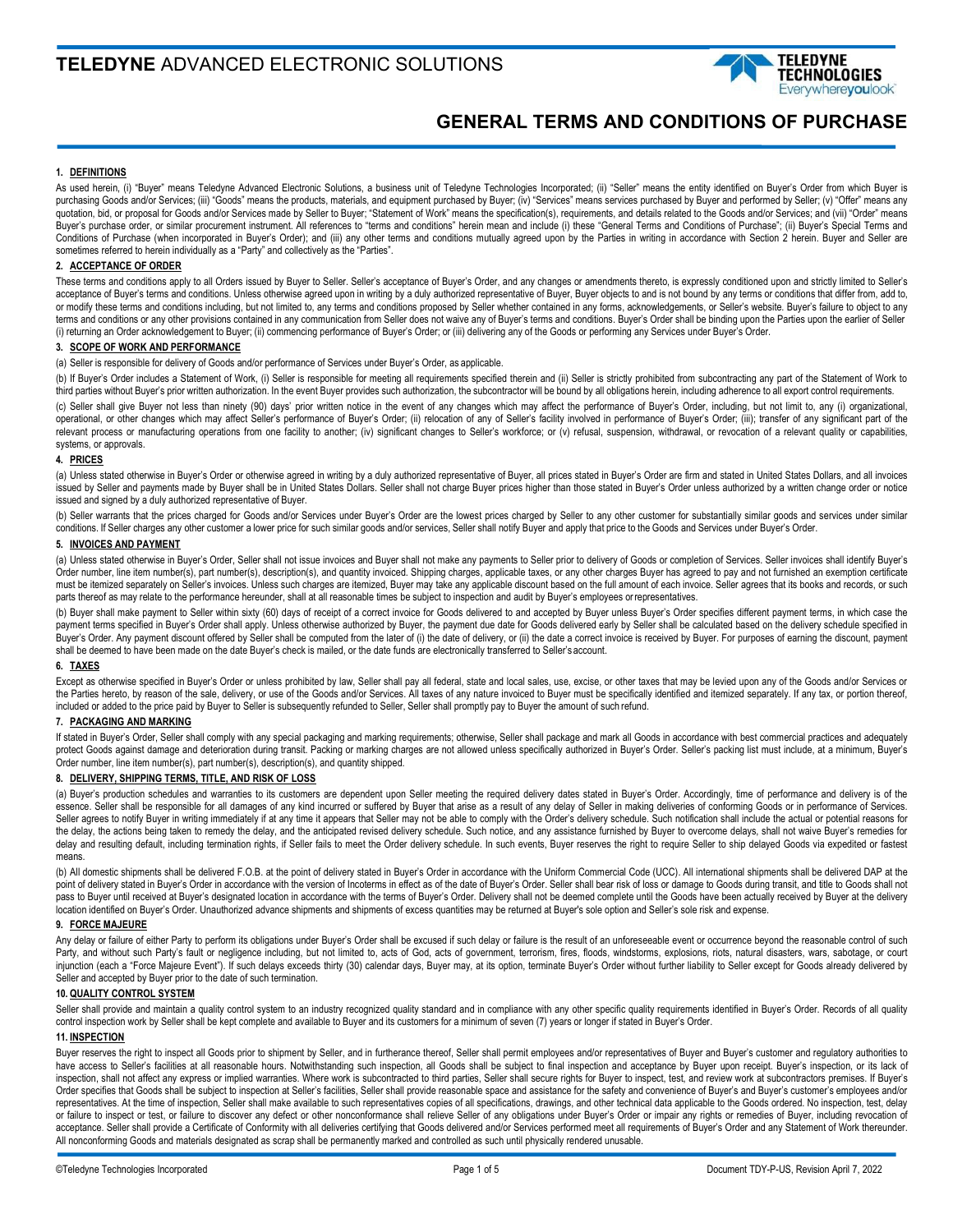

# **GENERAL TERMS AND CONDITIONS OF PURCHASE**

## **1. DEFINITIONS**

As used herein, (i) "Buyer" means Teledyne Advanced Electronic Solutions, a business unit of Teledyne Technologies Incorporated; (ii) "Seller" means the entity identified on Buyer's Order from which Buyer is purchasing Goods and/or Services; (iii) "Goods" means the products, materials, and equipment purchased by Buyer; (iv) "Services" means services purchased by Buyer and performed by Seller; (v) "Offer" means any quotation, bid, or proposal for Goods and/or Services made by Seller to Buyer; "Statement of Work" means the specification(s), requirements, and details related to the Goods and/or Services; and (vii) "Order" means Buyer's purchase order, or similar procurement instrument. All references to "terms and conditions" herein mean and include (i) these "General Terms and Conditions of Purchase"; (ii) Buyer's Special Terms and Conditions of Purchase (when incorporated in Buyer's Order); and (iii) any other terms and conditions mutually agreed upon by the Parties in writing in accordance with Section 2 herein. Buyer and Seller are sometimes referred to herein individually as a "Party" and collectively as the "Parties".

# **2. ACCEPTANCE OF ORDER**

These terms and conditions apply to all Orders issued by Buyer to Seller. Seller's acceptance of Buyer's Order, and any changes or amendments thereto, is expressly conditioned upon and strictly limited to Seller's acceptance of Buyer's terms and conditions. Unless otherwise agreed upon in writing by a duly authorized representative of Buyer, Buyer objects to and is not bound by any terms or conditions that differ from, add to, or modify these terms and conditions including, but not limited to, any terms and conditions proposed by Seller whether contained in any forms, acknowledgements, or Seller's website. Buyer's failure to object to any terms and conditions or any other provisions contained in any communication from Seller does not waive any of Buyer's terms and conditions. Buyer's Order shall be binding upon the Parties upon the earlier of Seller (i) returning an Order acknowledgement to Buyer; (ii) commencing performance of Buyer's Order; or (iii) delivering any of the Goods or performing any Services under Buyer's Order.

#### **3. SCOPE OF WORK AND PERFORMANCE**

(a) Seller is responsible for delivery of Goods and/or performance of Services under Buyer's Order, as applicable.

(b) If Buyer's Order includes a Statement of Work, (i) Seller is responsible for meeting all requirements specified therein and (ii) Seller is strictly prohibited from subcontracting any part of the Statement of Work to third parties without Buyer's prior written authorization. In the event Buyer provides such authorization, the subcontractor will be bound by all obligations herein, including adherence to all export control requirements.

(c) Seller shall give Buyer not less than ninety (90) days' prior written notice in the event of any changes which may affect the performance of Buyer's Order, including, but not limit to, any (i) organizational, operational, or other changes which may affect Seller's performance of Buyer's Order; (ii) relocation of any of Seller's facility involved in performance of Buyer's Order; (iii); transfer of any significant part of the relevant process or manufacturing operations from one facility to another; (iv) significant changes to Seller's workforce; or (v) refusal, suspension, withdrawal, or revocation of a relevant quality or capabilities, systems, or approvals.

## **4. PRICES**

(a) Unless stated otherwise in Buyer's Order or otherwise agreed in writing by a duly authorized representative of Buyer, all prices stated in Buyer's Order are firm and stated in United States Dollars, and all invoices issued by Seller and payments made by Buyer shall be in United States Dollars. Seller shall not charge Buyer prices higher than those stated in Buyer's Order unless authorized by a written change order or notice issued and signed by a duly authorized representative of Buyer.

(b) Seller warrants that the prices charged for Goods and/or Services under Buyer's Order are the lowest prices charged by Seller to any other customer for substantially similar goods and services under similar conditions. If Seller charges any other customer a lower price for such similar goods and/or services, Seller shall notify Buyer and apply that price to the Goods and Services under Buyer's Order.

#### **5. INVOICES AND PAYMENT**

(a) Unless stated otherwise in Buyer's Order, Seller shall not issue invoices and Buyer shall not make any payments to Seller prior to delivery of Goods or completion of Services. Seller invoices shall identify Buyer's Order number, line item number(s), part number(s), description(s), and quantity invoiced. Shipping charges, applicable taxes, or any other charges Buyer has agreed to pay and not furnished an exemption certificate must be itemized separately on Seller's invoices. Unless such charges are itemized, Buyer may take any applicable discount based on the full amount of each invoice. Seller agrees that its books and records, or such parts thereof as may relate to the performance hereunder, shall at all reasonable times be subject to inspection and audit by Buyer's employees or representatives.

(b) Buyer shall make payment to Seller within sixty (60) days of receipt of a correct invoice for Goods delivered to and accepted by Buyer unless Buyer's Order specifies different payment terms, in which case the payment terms specified in Buyer's Order shall apply. Unless otherwise authorized by Buyer, the payment due date for Goods delivered early by Seller shall be calculated based on the delivery schedule specified in Buyer's Order. Any payment discount offered by Seller shall be computed from the later of (i) the date of delivery, or (ii) the date a correct invoice is received by Buyer. For purposes of earning the discount, payment<br>sha

## **6. TAXES**

Except as otherwise specified in Buyer's Order or unless prohibited by law, Seller shall pay all federal, state and local sales, use, excise, or other taxes that may be levied upon any of the Goods and/or Services or the Parties hereto, by reason of the sale, delivery, or use of the Goods and/or Services. All taxes of any nature invoiced to Buyer must be specifically identified and itemized separately. If any tax, or portion thereof, included or added to the price paid by Buyer to Seller is subsequently refunded to Seller, Seller shall promptly pay to Buyer the amount of such refund.

## **7. PACKAGING AND MARKING**

If stated in Buyer's Order, Seller shall comply with any special packaging and marking requirements; otherwise, Seller shall package and mark all Goods in accordance with best commercial practices and adequately protect Goods against damage and deterioration during transit. Packing or marking charges are not allowed unless specifically authorized in Buyer's Order. Seller's packing list must include, at a minimum, Buyer's Order number, line item number(s), part number(s), description(s), and quantity shipped.

# **8. DELIVERY, SHIPPING TERMS, TITLE, AND RISK OF LOSS**

(a) Buyer's production schedules and warranties to its customers are dependent upon Seller meeting the required delivery dates stated in Buyer's Order. Accordingly, time of performance and delivery is of the essence. Seller shall be responsible for all damages of any kind incurred or suffered by Buyer that arise as a result of any delay of Seller in making deliveries of conforming Goods or in performance of Services. Seller agrees to notify Buyer in writing immediately if at any time it appears that Seller may not be able to comply with the Order's delivery schedule. Such notification shall include the actual or potential reasons for the delay, the actions being taken to remedy the delay, and the anticipated revised delivery schedule. Such notice, and any assistance furnished by Buyer to overcome delays, shall not waive Buyer's remedies for delay and resulting default, including termination rights, if Seller fails to meet the Order delivery schedule. In such events, Buyer reserves the right to require Seller to ship delayed Goods via expedited or fastest means.

(b) All domestic shipments shall be delivered F.O.B. at the point of delivery stated in Buyer's Order in accordance with the Uniform Commercial Code (UCC). All international shipments shall be delivered DAP at the point of delivery stated in Buyer's Order in accordance with the version of Incoterms in effect as of the date of Buyer's Order. Seller shall bear risk of loss or damage to Goods during transit, and title to Goods shall no pass to Buyer until received at Buyer's designated location in accordance with the terms of Buyer's Order. Delivery shall not be deemed complete until the Goods have been actually received by Buyer at the delivery pass to location identified on Buyer's Order. Unauthorized advance shipments and shipments of excess quantities may be returned at Buyer's sole option and Seller's sole risk and expense.

## **9. FORCE MAJEURE**

Any delay or failure of either Party to perform its obligations under Buyer's Order shall be excused if such delay or failure is the result of an unforeseeable event or occurrence beyond the reasonable control of such Party, and without such Party's fault or negligence including, but not limited to, acts of God, acts of government, terrorism, fires, floods, windstorms, explosions, riots, natural disasters, wars, sabotage, or court injunction (each a "Force Majeure Event"). If such delays exceeds thirty (30) calendar days, Buyer may, at its option, terminate Buyer's Order without further liability to Seller except for Goods already delivered by Seller and accepted by Buyer prior to the date of such termination.

## **10. QUALITY CONTROL SYSTEM**

Seller shall provide and maintain a quality control system to an industry recognized quality standard and in compliance with any other specific quality requirements identified in Buyer's Order. Records of all quality control inspection work by Seller shall be kept complete and available to Buyer and its customers for a minimum of seven (7) years or longer if stated in Buyer's Order.

#### **11. INSPECTION**

Buyer reserves the right to inspect all Goods prior to shipment by Seller, and in furtherance thereof, Seller shall permit employees and/or representatives of Buyer and Buyer's customer and regulatory authorities to have access to Seller's facilities at all reasonable hours. Notwithstanding such inspection, all Goods shall be subject to final inspection and acceptance by Buyer upon receipt. Buyer's inspection, or its lack of inspection, shall not affect any express or implied warranties. Where work is subcontracted to third parties, Seller shall secure rights for Buyer to inspect, test, and review work at subcontractors premises. If Buyer's Order specifies that Goods shall be subject to inspection at Seller's facilities, Seller shall provide reasonable space and assistance for the safety and convenience of Buyer's and Buyer's customer's employees and/or representatives. At the time of inspection, Seller shall make available to such representatives copies of all specifications, drawings, and other technical data applicable to the Goods ordered. No inspection, test, delay or failure to inspect or test, or failure to discover any defect or other nonconformance shall relieve Seller of any obligations under Buyer's Order or impair any rights or remedies of Buyer, including revocation of acceptance. Seller shall provide a Certificate of Conformity with all deliveries certifying that Goods delivered and/or Services performed meet all requirements of Buyer's Order and any Statement of Work thereunder. All nonconforming Goods and materials designated as scrap shall be permanently marked and controlled as such until physically rendered unusable.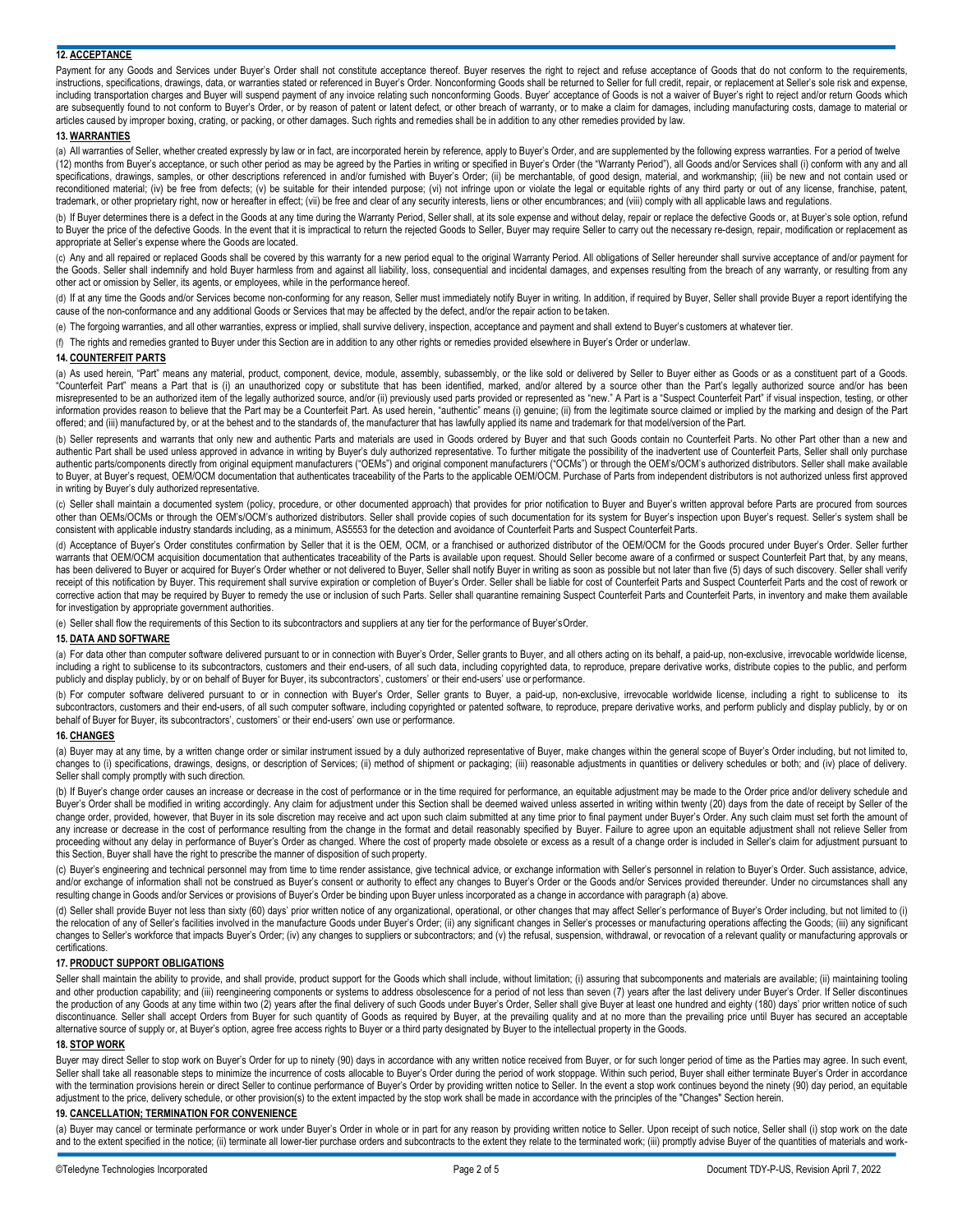## **12. ACCEPTANCE**

Payment for any Goods and Services under Buyer's Order shall not constitute acceptance thereof. Buyer reserves the right to reject and refuse acceptance of Goods that do not conform to the requirements, instructions, specifications, drawings, data, or warranties stated or referenced in Buyer's Order. Nonconforming Goods shall be returned to Seller for full credit, repair, or replacement at Seller's sole risk and expense, including transportation charges and Buyer will suspend payment of any invoice relating such nonconforming Goods. Buyer' acceptance of Goods is not a waiver of Buyer's right to reject and/or return Goods which are subsequently found to not conform to Buyer's Order, or by reason of patent or latent defect, or other breach of warranty, or to make a claim for damages, including manufacturing costs, damage to material or articles caused by improper boxing, crating, or packing, or other damages. Such rights and remedies shall be in addition to any other remedies provided by law.

#### **13. WARRANTIES**

(a) All warranties of Seller, whether created expressly by law or in fact, are incorporated herein by reference, apply to Buyer's Order, and are supplemented by the following express warranties. For a period of twelve (12) months from Buyer's acceptance, or such other period as may be agreed by the Parties in writing or specified in Buyer's Order (the "Warranty Period"), all Goods and/or Services shall (i) conform with any and all specifications, drawings, samples, or other descriptions referenced in and/or furnished with Buyer's Order; (ii) be merchantable, of good design, material, and workmanship; (iii) be new and not contain used or reconditioned material; (iv) be free from defects; (v) be suitable for their intended purpose; (vi) not infringe upon or violate the legal or equitable rights of any third party or out of any license, franchise, patent, trademark, or other proprietary right, now or hereafter in effect; (vii) be free and clear of any security interests, liens or other encumbrances; and (viii) comply with all applicable laws and regulations.

(b) If Buyer determines there is a defect in the Goods at any time during the Warranty Period, Seller shall, at its sole expense and without delay, repair or replace the defective Goods or, at Buyer's sole option, refund to Buyer the price of the defective Goods. In the event that it is impractical to return the rejected Goods to Seller, Buyer may require Seller to carry out the necessary re-design, repair, modification or replacement as appropriate at Seller's expense where the Goods are located.

(c) Any and all repaired or replaced Goods shall be covered by this warranty for a new period equal to the original Warranty Period. All obligations of Seller hereunder shall survive acceptance of and/or payment for the Goods. Seller shall indemnify and hold Buyer harmless from and against all liability, loss, consequential and incidental damages, and expenses resulting from the breach of any warranty, or resulting from any other act or omission by Seller, its agents, or employees, while in the performance hereof.

(d) If at any time the Goods and/or Services become non-conforming for any reason, Seller must immediately notify Buyer in writing. In addition, if required by Buyer, Seller shall provide Buyer a report identifying the cause of the non-conformance and any additional Goods or Services that may be affected by the defect, and/or the repair action to be taken.

(e) The forgoing warranties, and all other warranties, express or implied, shall survive delivery, inspection, acceptance and payment and shall extend to Buyer's customers at whatever tier.

(f) The rights and remedies granted to Buyer under this Section are in addition to any other rights or remedies provided elsewhere in Buyer's Order or underlaw.

## **14. COUNTERFEIT PARTS**

(a) As used herein, "Part" means any material, product, component, device, module, assembly, subassembly, or the like sold or delivered by Seller to Buyer either as Goods or as a constituent part of a Goods. "Counterfeit Part" means a Part that is (i) an unauthorized copy or substitute that has been identified, marked, and/or altered by a source other than the Part's legally authorized source and/or has been misrepresented to be an authorized item of the legally authorized source, and/or (ii) previously used parts provided or represented as "new." A Part is a "Suspect Counterfeit Part" if visual inspection, testing, or other information provides reason to believe that the Part may be a Counterfeit Part. As used herein, "authentic" means (i) genuine; (ii) from the legitimate source claimed or implied by the marking and design of the Part offered; and (iii) manufactured by, or at the behest and to the standards of, the manufacturer that has lawfully applied its name and trademark for that model/version of the Part.

(b) Seller represents and warrants that only new and authentic Parts and materials are used in Goods ordered by Buyer and that such Goods contain no Counterfeit Parts. No other Part other than a new and authentic Part shall be used unless approved in advance in writing by Buyer's duly authorized representative. To further mitigate the possibility of the inadvertent use of Counterfeit Parts, Seller shall only purchase authentic parts/components directly from original equipment manufacturers ("OEMs") and original component manufacturers ("OCMs") or through the OEM's/OCM's authorized distributors. Seller shall make available to Buyer, at Buyer's request, OEM/OCM documentation that authenticates traceability of the Parts to the applicable OEM/OCM. Purchase of Parts from independent distributors is not authorized unless first approved in writing by Buyer's duly authorized representative.

(c) Seller shall maintain a documented system (policy, procedure, or other documented approach) that provides for prior notification to Buyer and Buyer's written approval before Parts are procured from sources other than OEMs/OCMs or through the OEM's/OCM's authorized distributors. Seller shall provide copies of such documentation for its system for Buyer's inspection upon Buyer's request. Seller's system shall be consistent with applicable industry standards including, as a minimum, AS5553 for the detection and avoidance of Counterfeit Parts and Suspect Counterfeit Parts.

(d) Acceptance of Buyer's Order constitutes confirmation by Seller that it is the OEM, OCM, or a franchised or authorized distributor of the OEM/OCM for the Goods procured under Buyer's Order. Seller further warrants that OEM/OCM acquisition documentation that authenticates traceability of the Parts is available upon request. Should Seller become aware of a confirmed or suspect Counterfeit Part that, by any means, has been delivered to Buyer or acquired for Buyer's Order whether or not delivered to Buyer, Seller shall notify Buyer in writing as soon as possible but not later than five (5) days of such discovery. Seller shall verify receipt of this notification by Buyer. This requirement shall survive expiration or completion of Buyer's Order. Seller shall be liable for cost of Counterfeit Parts and Suspect Counterfeit Parts and the cost of rework or corrective action that may be required by Buyer to remedy the use or inclusion of such Parts. Seller shall quarantine remaining Suspect Counterfeit Parts and Counterfeit Parts, in inventory and make them available for investigation by appropriate government authorities.

(e) Seller shall flow the requirements of this Section to its subcontractors and suppliers at any tier for the performance of Buyer'sOrder.

## **15. DATA AND SOFTWARE**

(a) For data other than computer software delivered pursuant to or in connection with Buyer's Order, Seller grants to Buyer, and all others acting on its behalf, a paid-up, non-exclusive, irrevocable worldwide license, including a right to sublicense to its subcontractors, customers and their end-users, of all such data, including copyrighted data, to reproduce, prepare derivative works, distribute copies to the public, and perform publicly and display publicly, by or on behalf of Buyer for Buyer, its subcontractors', customers' or their end-users' use or performance.

(b) For computer software delivered pursuant to or in connection with Buyer's Order, Seller grants to Buyer, a paid-up, non-exclusive, irrevocable worldwide license, including a right to sublicense to its subcontractors, customers and their end-users, of all such computer software, including copyrighted or patented software, to reproduce, prepare derivative works, and perform publicly and display publicly, by or on behalf of Buyer for Buyer, its subcontractors', customers' or their end-users' own use or performance.

# **16. CHANGES**

(a) Buyer may at any time, by a written change order or similar instrument issued by a duly authorized representative of Buyer, make changes within the general scope of Buyer's Order including, but not limited to, changes to (i) specifications, drawings, designs, or description of Services; (ii) method of shipment or packaging; (iii) reasonable adjustments in quantities or delivery schedules or both; and (iv) place of delivery. Seller shall comply promptly with such direction.

(b) If Buyer's change order causes an increase or decrease in the cost of performance or in the time required for performance, an equitable adjustment may be made to the Order price and/or delivery schedule and Buyer's Order shall be modified in writing accordingly. Any claim for adjustment under this Section shall be deemed waived unless asserted in writing within twenty (20) days from the date of receipt by Seller of the change order, provided, however, that Buyer in its sole discretion may receive and act upon such claim submitted at any time prior to final payment under Buyer's Order. Any such claim must set forth the amount of any increase or decrease in the cost of performance resulting from the change in the format and detail reasonably specified by Buyer. Failure to agree upon an equitable adjustment shall not relieve Seller from proceeding without any delay in performance of Buyer's Order as changed. Where the cost of property made obsolete or excess as a result of a change order is included in Seller's claim for adjustment pursuant to this Section, Buyer shall have the right to prescribe the manner of disposition of such property.

(c) Buyer's engineering and technical personnel may from time to time render assistance, give technical advice, or exchange information with Seller's personnel in relation to Buyer's Order. Such assistance, advice, and/or exchange of information shall not be construed as Buyer's consent or authority to effect any changes to Buyer's Order or the Goods and/or Services provided thereunder. Under no circumstances shall any resulting change in Goods and/or Services or provisions of Buyer's Order be binding upon Buyer unless incorporated as a change in accordance with paragraph (a) above.

(d) Seller shall provide Buyer not less than sixty (60) days' prior written notice of any organizational, operational, or other changes that may affect Seller's performance of Buyer's Order including, but not limited to (i) the relocation of any of Seller's facilities involved in the manufacture Goods under Buyer's Order; (ii) any significant changes in Seller's processes or manufacturing operations affecting the Goods; (iii) any significant changes to Seller's workforce that impacts Buyer's Order; (iv) any changes to suppliers or subcontractors; and (v) the refusal, suspension, withdrawal, or revocation of a relevant quality or manufacturing approvals or certifications.

#### **17. PRODUCT SUPPORT OBLIGATIONS**

Seller shall maintain the ability to provide, and shall provide, product support for the Goods which shall include, without limitation; (i) assuring that subcomponents and materials are available; (ii) maintaining tooling and other production capability; and (iii) reengineering components or systems to address obsolescence for a period of not less than seven (7) years after the last delivery under Buyer's Order. If Seller discontinues the production of any Goods at any time within two (2) years after the final delivery of such Goods under Buyer's Order, Seller shall give Buyer at least one hundred and eighty (180) days' prior written notice of such discontinuance. Seller shall accept Orders from Buyer for such quantity of Goods as required by Buyer, at the prevailing quality and at no more than the prevailing price until Buyer has secured an acceptable alternative source of supply or, at Buyer's option, agree free access rights to Buyer or a third party designated by Buyer to the intellectual property in the Goods.

#### **18. STOP WORK**

Buyer may direct Seller to stop work on Buyer's Order for up to ninety (90) days in accordance with any written notice received from Buyer, or for such longer period of time as the Parties may agree. In such event, Seller shall take all reasonable steps to minimize the incurrence of costs allocable to Buyer's Order during the period of work stoppage. Within such period, Buyer shall either terminate Buyer's Order in accordance with the termination provisions herein or direct Seller to continue performance of Buyer's Order by providing written notice to Seller. In the event a stop work continues beyond the ninety (90) day period, an equitable adjustment to the price, delivery schedule, or other provision(s) to the extent impacted by the stop work shall be made in accordance with the principles of the "Changes" Section herein.

## **19. CANCELLATION; TERMINATION FOR CONVENIENCE**

(a) Buyer may cancel or terminate performance or work under Buyer's Order in whole or in part for any reason by providing written notice to Seller. Upon receipt of such notice, Seller shall (i) stop work on the date and to the extent specified in the notice; (ii) terminate all lower-tier purchase orders and subcontracts to the extent they relate to the terminated work; (iii) promptly advise Buyer of the quantities of materials and wor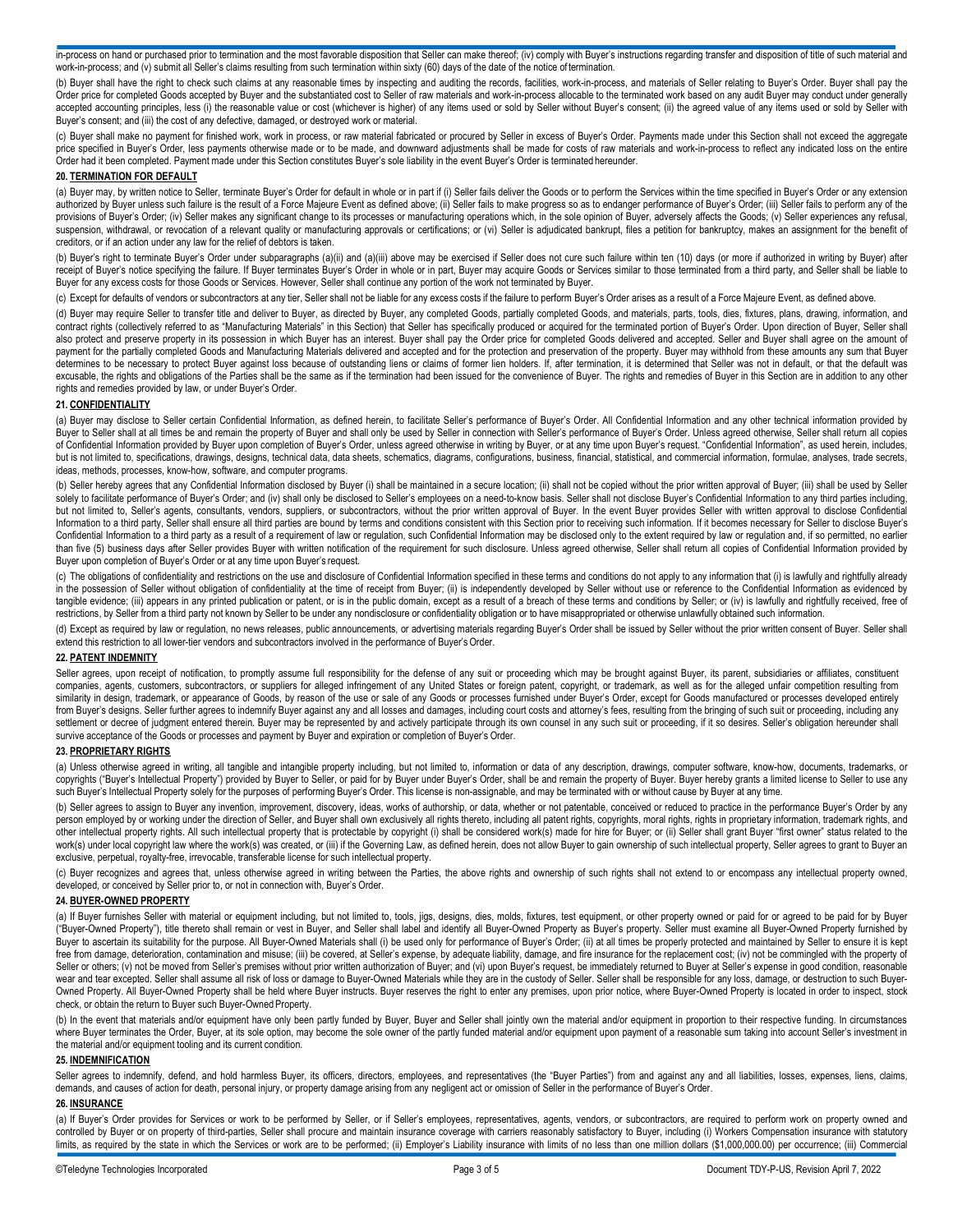in-process on hand or purchased prior to termination and the most favorable disposition that Seller can make thereof; (iv) comply with Buyer's instructions regarding transfer and disposition of title of such material and work-in-process; and (v) submit all Seller's claims resulting from such termination within sixty (60) days of the date of the notice of termination.

(b) Buyer shall have the right to check such claims at any reasonable times by inspecting and auditing the records, facilities, work-in-process, and materials of Seller relating to Buyer's Order. Buyer shall pay the Order price for completed Goods accepted by Buyer and the substantiated cost to Seller of raw materials and work-in-process allocable to the terminated work based on any audit Buyer may conduct under generally accepted accounting principles, less (i) the reasonable value or cost (whichever is higher) of any items used or sold by Seller without Buyer's consent; (ii) the agreed value of any items used or sold by Seller with Buyer's consent; and (iii) the cost of any defective, damaged, or destroyed work or material.

(c) Buyer shall make no payment for finished work, work in process, or raw material fabricated or procured by Seller in excess of Buyer's Order. Payments made under this Section shall not exceed the aggregate price specified in Buyer's Order, less payments otherwise made or to be made, and downward adjustments shall be made for costs of raw materials and work-in-process to reflect any indicated loss on the entire Order had it been completed. Payment made under this Section constitutes Buyer's sole liability in the event Buyer's Order is terminated hereunder.

# **20. TERMINATION FOR DEFAULT**

(a) Buyer may, by written notice to Seller, terminate Buyer's Order for default in whole or in part if (i) Seller fails deliver the Goods or to perform the Services within the time specified in Buyer's Order or any extensi authorized by Buyer unless such failure is the result of a Force Majeure Event as defined above; (ii) Seller fails to make progress so as to endanger performance of Buyer's Order; (iii) Seller fails to perform any of the provisions of Buyer's Order; (iv) Seller makes any significant change to its processes or manufacturing operations which, in the sole opinion of Buyer, adversely affects the Goods; (v) Seller experiences any refusal, suspension, withdrawal, or revocation of a relevant quality or manufacturing approvals or certifications; or (vi) Seller is adjudicated bankrupt, files a petition for bankruptcy, makes an assignment for the benefit of creditors, or if an action under any law for the relief of debtors is taken.

(b) Buyer's right to terminate Buyer's Order under subparagraphs (a)(ii) and (a)(iii) above may be exercised if Seller does not cure such failure within ten (10) days (or more if authorized in writing by Buyer) after receipt of Buyer's notice specifying the failure. If Buyer terminates Buyer's Order in whole or in part, Buyer may acquire Goods or Services similar to those terminated from a third party, and Seller shall be liable to Buyer for any excess costs for those Goods or Services. However, Seller shall continue any portion of the work not terminated by Buyer.

(c) Except for defaults of vendors or subcontractors at any tier, Seller shall not be liable for any excess costs if the failure to perform Buyer's Order arises as a result of a Force Majeure Event, as defined above.

(d) Buyer may require Seller to transfer title and deliver to Buyer, as directed by Buyer, any completed Goods, partially completed Goods, and materials, parts, tools, dies, fixtures, plans, drawing, information, and contract rights (collectively referred to as "Manufacturing Materials" in this Section) that Seller has specifically produced or acquired for the terminated portion of Buyer's Order. Upon direction of Buyer, Seller shall also protect and preserve property in its possession in which Buyer has an interest. Buyer shall pay the Order price for completed Goods delivered and accepted. Seller and Buyer shall agree on the amount of payment for the partially completed Goods and Manufacturing Materials delivered and accepted and for the protection and preservation of the property. Buyer may withhold from these amounts any sum that Buyer determines to be necessary to protect Buyer against loss because of outstanding liens or claims of former lien holders. If, after termination, it is determined that Seller was not in default, or that the default was excusable, the rights and obligations of the Parties shall be the same as if the termination had been issued for the convenience of Buyer. The rights and remedies of Buyer in this Section are in addition to any other rights and remedies provided by law, or under Buyer's Order.

#### **21. CONFIDENTIALITY**

(a) Buyer may disclose to Seller certain Confidential Information, as defined herein, to facilitate Seller's performance of Buyer's Order. All Confidential Information and any other technical information provided by Buyer to Seller shall at all times be and remain the property of Buyer and shall only be used by Seller in connection with Seller's performance of Buyer's Order. Unless agreed otherwise, Seller shall return all copies of Confidential Information provided by Buyer upon completion of Buyer's Order, unless agreed otherwise in writing by Buyer, or at any time upon Buyer's request. "Confidential Information", as used herein, includes, but is not limited to, specifications, drawings, designs, technical data, data sheets, schematics, diagrams, configurations, business, financial, statistical, and commercial information, formulae, analyses, trade secrets, ideas, methods, processes, know-how, software, and computer programs.

(b) Seller hereby agrees that any Confidential Information disclosed by Buyer (i) shall be maintained in a secure location; (ii) shall not be copied without the prior written approval of Buyer; (iii) shall be used by Seller solely to facilitate performance of Buyer's Order; and (iv) shall only be disclosed to Seller's employees on a need-to-know basis. Seller shall not disclose Buyer's Confidential Information to any third parties including, but not limited to, Seller's agents, consultants, vendors, suppliers, or subcontractors, without the prior written approval of Buyer. In the event Buyer provides Seller with written approval to disclose Confidential Information to a third party, Seller shall ensure all third parties are bound by terms and conditions consistent with this Section prior to receiving such information. If it becomes necessary for Seller to disclose Buyer's Confidential Information to a third party as a result of a requirement of law or regulation, such Confidential Information may be disclosed only to the extent required by law or regulation and, if so permitted, no earlier than five (5) business days after Seller provides Buyer with written notification of the requirement for such disclosure. Unless agreed otherwise, Seller shall return all copies of Confidential Information provided by Buyer upon completion of Buyer's Order or at any time upon Buyer's request.

(c) The obligations of confidentiality and restrictions on the use and disclosure of Confidential Information specified in these terms and conditions do not apply to any information that (i) is lawfully and rightfully alre in the possession of Seller without obligation of confidentiality at the time of receipt from Buyer; (ii) is independently developed by Seller without use or reference to the Confidential Information as evidenced by tangible evidence; (iii) appears in any printed publication or patent, or is in the public domain, except as a result of a breach of these terms and conditions by Seller; or (iv) is lawfully and rightfully received, free of restrictions, by Seller from a third party not known by Seller to be under any nondisclosure or confidentiality obligation or to have misappropriated or otherwise unlawfully obtained such information.

(d) Except as required by law or regulation, no news releases, public announcements, or advertising materials regarding Buyer's Order shall be issued by Seller without the prior written consent of Buyer. Seller shall extend this restriction to all lower-tier vendors and subcontractors involved in the performance of Buyer's Order.

#### **22. PATENT INDEMNITY**

Seller agrees, upon receipt of notification, to promptly assume full responsibility for the defense of any suit or proceeding which may be brought against Buyer, its parent, subsidiaries or affiliates, constituent companies, agents, customers, subcontractors, or suppliers for alleged infringement of any United States or foreign patent, copyright, or trademark, as well as for the alleged unfair competition resulting from similarity in design, trademark, or appearance of Goods, by reason of the use or sale of any Goods or processes furnished under Buyer's Order, except for Goods manufactured or processes developed entirely from Buyer's designs. Seller further agrees to indemnify Buyer against any and all losses and damages, including court costs and attorney's fees, resulting from the bringing of such suit or proceeding, including any settlement or decree of judgment entered therein. Buyer may be represented by and actively participate through its own counsel in any such suit or proceeding, if it so desires. Seller's obligation hereunder shall survive acceptance of the Goods or processes and payment by Buyer and expiration or completion of Buyer's Order.

#### **23. PROPRIETARY RIGHTS**

(a) Unless otherwise agreed in writing, all tangible and intangible property including, but not limited to, information or data of any description, drawings, computer software, know-how, documents, trademarks, or copyrights ("Buyer's Intellectual Property") provided by Buyer to Seller, or paid for by Buyer under Buyer's Order, shall be and remain the property of Buyer. Buyer hereby grants a limited license to Seller to use any such Buyer's Intellectual Property solely for the purposes of performing Buyer's Order. This license is non-assignable, and may be terminated with or without cause by Buyer at any time.

(b) Seller agrees to assign to Buyer any invention, improvement, discovery, ideas, works of authorship, or data, whether or not patentable, conceived or reduced to practice in the performance Buyer's Order by any person employed by or working under the direction of Seller, and Buyer shall own exclusively all rights thereto, including all patent rights, copyrights, moral rights, rights in proprietary information, trademark rights, a other intellectual property rights. All such intellectual property that is protectable by copyright (i) shall be considered work(s) made for hire for Buyer; or (ii) Seller shall grant Buyer "first owner" status related to work(s) under local copyright law where the work(s) was created, or (iii) if the Governing Law, as defined herein, does not allow Buyer to gain ownership of such intellectual property, Seller agrees to grant to Buyer an exclusive, perpetual, royalty-free, irrevocable, transferable license for such intellectual property.

(c) Buyer recognizes and agrees that, unless otherwise agreed in writing between the Parties, the above rights and ownership of such rights shall not extend to or encompass any intellectual property owned, developed, or conceived by Seller prior to, or not in connection with, Buyer's Order.

#### **24. BUYER-OWNED PROPERTY**

(a) If Buyer furnishes Seller with material or equipment including, but not limited to, tools, jigs, designs, dies, molds, fixtures, test equipment, or other property owned or paid for or agreed to be paid for by Buyer ("Buyer-Owned Property"), title thereto shall remain or vest in Buyer, and Seller shall label and identify all Buyer-Owned Property as Buyer's property. Seller must examine all Buyer-Owned Property furnished by "Buyer-Owne Buyer to ascertain its suitability for the purpose. All Buyer-Owned Materials shall (i) be used only for performance of Buyer's Order; (ii) at all times be properly protected and maintained by Seller to ensure it is kept free from damage, deterioration, contamination and misuse; (iii) be covered, at Seller's expense, by adequate liability, damage, and fire insurance for the replacement cost; (iv) not be commingled with the property of Seller or others; (v) not be moved from Seller's premises without prior written authorization of Buyer; and (vi) upon Buyer's request, be immediately returned to Buyer at Seller's expense in good condition, reasonable wear and tear excepted. Seller shall assume all risk of loss or damage to Buyer-Owned Materials while they are in the custody of Seller. Seller shall be responsible for any loss, damage, or destruction to such Buyer-Owned Property. All Buyer-Owned Property shall be held where Buyer instructs. Buyer reserves the right to enter any premises, upon prior notice, where Buyer-Owned Property is located in order to inspect, stock check, or obtain the return to Buyer such Buyer-Owned Property.

(b) In the event that materials and/or equipment have only been partly funded by Buyer, Buyer and Seller shall jointly own the material and/or equipment in proportion to their respective funding. In circumstances where Buyer terminates the Order, Buyer, at its sole option, may become the sole owner of the partly funded material and/or equipment upon payment of a reasonable sum taking into account Seller's investment in the material and/or equipment tooling and its current condition.

## **25. INDEMNIFICATION**

Seller agrees to indemnify, defend, and hold harmless Buyer, its officers, directors, employees, and representatives (the "Buyer Parties") from and against any and all liabilities, losses, expenses, liens, claims, demands, and causes of action for death, personal injury, or property damage arising from any negligent act or omission of Seller in the performance of Buyer's Order.

#### **26. INSURANCE**

(a) If Buyer's Order provides for Services or work to be performed by Seller, or if Seller's employees, representatives, agents, vendors, or subcontractors, are required to perform work on property owned and controlled by Buyer or on property of third-parties, Seller shall procure and maintain insurance coverage with carriers reasonably satisfactory to Buyer, including (i) Workers Compensation insurance with statutory limits, as required by the state in which the Services or work are to be performed; (ii) Employer's Liability insurance with limits of no less than one million dollars (\$1,000,000.00) per occurrence; (iii) Commercial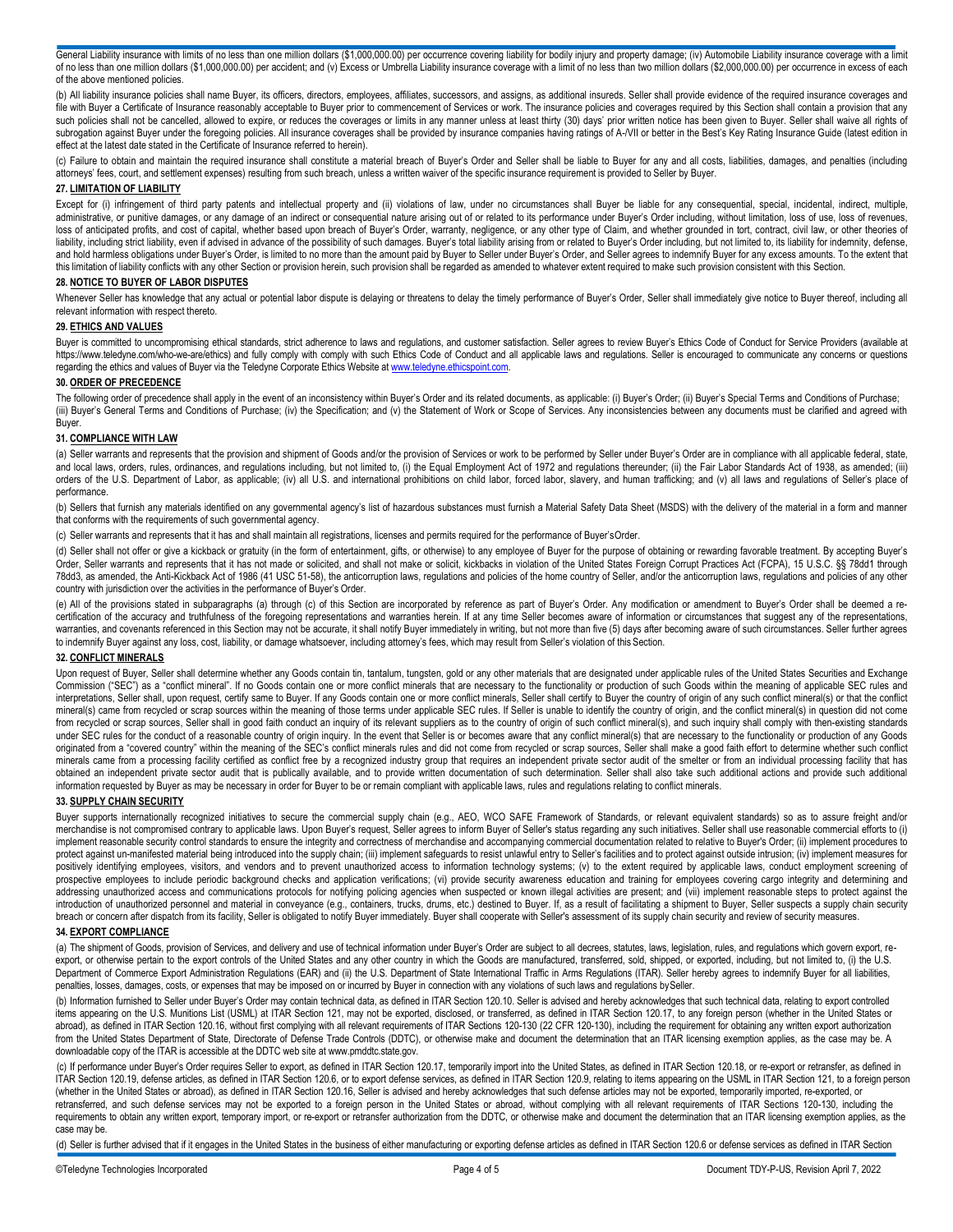General Liability insurance with limits of no less than one million dollars (\$1,000,000.00) per occurrence covering liability for bodily injury and property damage; (iv) Automobile Liability insurance coverage with a limit of no less than one million dollars (\$1,000,000.00) per accident; and (v) Excess or Umbrella Liability insurance coverage with a limit of no less than two million dollars (\$2,000,000.00) per occurrence in excess of each of the above mentioned policies.

(b) All liability insurance policies shall name Buyer, its officers, directors, employees, affiliates, successors, and assigns, as additional insureds. Seller shall provide evidence of the required insurance coverages and file with Buyer a Certificate of Insurance reasonably acceptable to Buyer prior to commencement of Services or work. The insurance policies and coverages required by this Section shall contain a provision that any such policies shall not be cancelled, allowed to expire, or reduces the coverages or limits in any manner unless at least thirty (30) days' prior written notice has been given to Buyer. Seller shall waive all rights of subrogation against Buyer under the foregoing policies. All insurance coverages shall be provided by insurance companies having ratings of A-/VII or better in the Best's Key Rating Insurance Guide (latest edition in effect at the latest date stated in the Certificate of Insurance referred to herein).

(c) Failure to obtain and maintain the required insurance shall constitute a material breach of Buyer's Order and Seller shall be liable to Buyer for any and all costs, liabilities, damages, and penalties (including attorneys' fees, court, and settlement expenses) resulting from such breach, unless a written waiver of the specific insurance requirement is provided to Seller by Buyer.

## **27. LIMITATION OF LIABILITY**

Except for (i) infringement of third party patents and intellectual property and (ii) violations of law, under no circumstances shall Buyer be liable for any consequential, special, incidental, indirect, multiple, administrative, or punitive damages, or any damage of an indirect or consequential nature arising out of or related to its performance under Buyer's Order including, without limitation, loss of use, loss of revenues, loss of anticipated profits, and cost of capital, whether based upon breach of Buyer's Order, warranty, negligence, or any other type of Claim, and whether grounded in tort, contract, civil law, or other theories of liability, including strict liability, even if advised in advance of the possibility of such damages. Buyer's total liability arising from or related to Buyer's Order including, but not limited to, its liability for indemn and hold harmless obligations under Buyer's Order, is limited to no more than the amount paid by Buyer to Seller under Buyer's Order, and Seller agrees to indemnify Buyer for any excess amounts. To the extent that this limitation of liability conflicts with any other Section or provision herein, such provision shall be regarded as amended to whatever extent required to make such provision consistent with this Section.

# **28. NOTICE TO BUYER OF LABOR DISPUTES**

Whenever Seller has knowledge that any actual or potential labor dispute is delaying or threatens to delay the timely performance of Buyer's Order, Seller shall immediately give notice to Buyer thereof, including all relevant information with respect thereto.

# **29. ETHICS AND VALUES**

Buyer is committed to uncompromising ethical standards, strict adherence to laws and regulations, and customer satisfaction. Seller agrees to review Buyer's Ethics Code of Conduct for Service Providers (available at <https://www.teledyne.com/who-we-are/ethics>) and fully comply with comply with such Ethics Code of Conduct and all applicable laws and regulations. Seller is encouraged to communicate any concerns or questions regarding the ethics and values of Buyer via the Teledyne Corporate Ethics Website at www.teledyne.ethicspoint.com.

## **30. ORDER OF PRECEDENCE**

The following order of precedence shall apply in the event of an inconsistency within Buyer's Order and its related documents, as applicable: (i) Buyer's Order; (ii) Buyer's Special Terms and Conditions of Purchase; (iii) Buyer's General Terms and Conditions of Purchase; (iv) the Specification; and (v) the Statement of Work or Scope of Services. Any inconsistencies between any documents must be clarified and agreed with Buyer.

#### **31. COMPLIANCE WITH LAW**

(a) Seller warrants and represents that the provision and shipment of Goods and/or the provision of Services or work to be performed by Seller under Buyer's Order are in compliance with all applicable federal, state, and local laws, orders, rules, ordinances, and regulations including, but not limited to, (i) the Equal Employment Act of 1972 and regulations thereunder; (ii) the Fair Labor Standards Act of 1938, as amended; (iii) orders of the U.S. Department of Labor, as applicable; (iv) all U.S. and international prohibitions on child labor, forced labor, slavery, and human trafficking; and (v) all laws and regulations of Seller's place of performance.

(b) Sellers that furnish any materials identified on any governmental agency's list of hazardous substances must furnish a Material Safety Data Sheet (MSDS) with the delivery of the material in a form and manner that conforms with the requirements of such governmental agency.

(c) Seller warrants and represents that it has and shall maintain all registrations, licenses and permits required for the performance of Buyer'sOrder.

(d) Seller shall not offer or give a kickback or gratuity (in the form of entertainment, gifts, or otherwise) to any employee of Buyer for the purpose of obtaining or rewarding favorable treatment. By accepting Buyer's Order, Seller warrants and represents that it has not made or solicited, and shall not make or solicit, kickbacks in violation of the United States Foreign Corrupt Practices Act (FCPA), 15 U.S.C. §§ 78dd1 through 78dd3, as amended, the Anti-Kickback Act of 1986 (41 USC 51-58), the anticorruption laws, regulations and policies of the home country of Seller, and/or the anticorruption laws, regulations and policies of any other country with jurisdiction over the activities in the performance of Buyer's Order.

(e) All of the provisions stated in subparagraphs (a) through (c) of this Section are incorporated by reference as part of Buyer's Order. Any modification or amendment to Buyer's Order shall be deemed a recertification of the accuracy and truthfulness of the foregoing representations and warranties herein. If at any time Seller becomes aware of information or circumstances that suggest any of the representations, warranties, and covenants referenced in this Section may not be accurate, it shall notify Buyer immediately in writing, but not more than five (5) days after becoming aware of such circumstances. Seller further agrees to indemnify Buyer against any loss, cost, liability, or damage whatsoever, including attorney's fees, which may result from Seller's violation of this Section.

#### **32. CONFLICT MINERALS**

Upon request of Buyer, Seller shall determine whether any Goods contain tin, tantalum, tungsten, gold or any other materials that are designated under applicable rules of the United States Securities and Exchange Commission ("SEC") as a "conflict mineral". If no Goods contain one or more conflict minerals that are necessary to the functionality or production of such Goods within the meaning of applicable SEC rules and interpretations, Seller shall, upon request, certify same to Buyer. If any Goods contain one or more conflict minerals, Seller shall certify to Buyer the country of origin of any such conflict mineral(s) or that the confli mineral(s) came from recycled or scrap sources within the meaning of those terms under applicable SEC rules. If Seller is unable to identify the country of origin, and the conflict mineral(s) in question did not come from recycled or scrap sources, Seller shall in good faith conduct an inquiry of its relevant suppliers as to the country of origin of such conflict mineral(s), and such inquiry shall comply with then-existing standards under SEC rules for the conduct of a reasonable country of origin inquiry. In the event that Seller is or becomes aware that any conflict mineral(s) that are necessary to the functionality or production of any Goods originated from a "covered country" within the meaning of the SEC's conflict minerals rules and did not come from recycled or scrap sources, Seller shall make a good faith effort to determine whether such conflict minerals came from a processing facility certified as conflict free by a recognized industry group that requires an independent private sector audit of the smelter or from an individual processing facility that has obtained an independent private sector audit that is publically available, and to provide written documentation of such determination. Seller shall also take such additional actions and provide such additional information requested by Buyer as may be necessary in order for Buyer to be or remain compliant with applicable laws, rules and regulations relating to conflict minerals.

#### **33. SUPPLY CHAIN SECURITY**

Buyer supports internationally recognized initiatives to secure the commercial supply chain (e.g., AEO, WCO SAFE Framework of Standards, or relevant equivalent standards) so as to assure freight and/or merchandise is not compromised contrary to applicable laws. Upon Buyer's request, Seller agrees to inform Buyer of Seller's status regarding any such initiatives. Seller shall use reasonable commercial efforts to (i) implement reasonable security control standards to ensure the integrity and correctness of merchandise and accompanying commercial documentation related to relative to Buyer's Order; (ii) implement procedures to protect against un-manifested material being introduced into the supply chain; (iii) implement safeguards to resist unlawful entry to Seller's facilities and to protect against outside intrusion; (iv) implement measures fo positively identifying employees, visitors, and vendors and to prevent unauthorized access to information technology systems; (v) to the extent required by applicable laws, conduct employment screening of prospective employees to include periodic background checks and application verifications; (vi) provide security awareness education and training for employees covering cargo integrity and determining and addressing unauthorized access and communications protocols for notifying policing agencies when suspected or known illegal activities are present; and (vii) implement reasonable steps to protect against the introduction of unauthorized personnel and material in conveyance (e.g., containers, trucks, drums, etc.) destined to Buyer. If, as a result of facilitating a shipment to Buyer, Seller suspects a supply chain security breach or concern after dispatch from its facility, Seller is obligated to notify Buyer immediately. Buyer shall cooperate with Seller's assessment of its supply chain security and review of security measures.

# **34. EXPORT COMPLIANCE**

(a) The shipment of Goods, provision of Services, and delivery and use of technical information under Buyer's Order are subject to all decrees, statutes, laws, legislation, rules, and regulations which govern export, reexport, or otherwise pertain to the export controls of the United States and any other country in which the Goods are manufactured, transferred, sold, shipped, or exported, including, but not limited to, (i) the U.S. Department of Commerce Export Administration Regulations (EAR) and (ii) the U.S. Department of State International Traffic in Arms Regulations (ITAR). Seller hereby agrees to indemnify Buyer for all liabilities, penalties, losses, damages, costs, or expenses that may be imposed on or incurred by Buyer in connection with any violations of such laws and regulations bySeller.

(b) Information furnished to Seller under Buyer's Order may contain technical data, as defined in ITAR Section 120.10. Seller is advised and hereby acknowledges that such technical data, relating to export controlled items appearing on the U.S. Munitions List (USML) at ITAR Section 121, may not be exported, disclosed, or transferred, as defined in ITAR Section 120.17, to any foreign person (whether in the United States or abroad), as defined in ITAR Section 120.16, without first complying with all relevant requirements of ITAR Sections 120-130 (22 CFR 120-130), including the requirement for obtaining any written export authorization from the United States Department of State, Directorate of Defense Trade Controls (DDTC), or otherwise make and document the determination that an ITAR licensing exemption applies, as the case may be. A downloadable copy of the ITAR is accessible at the DDTC web site at www.pmddtc.state.gov

(c) If performance under Buyer's Order requires Seller to export, as defined in ITAR Section 120.17, temporarily import into the United States, as defined in ITAR Section 120.18, or re-export or retransfer, as defined in ITAR Section 120.19, defense articles, as defined in ITAR Section 120.6, or to export defense services, as defined in ITAR Section 120.9, relating to items appearing on the USML in ITAR Section 121, to a foreign person (whether in the United States or abroad), as defined in ITAR Section 120.16, Seller is advised and hereby acknowledges that such defense articles may not be exported, temporarily imported, re-exported, or retransferred, and such defense services may not be exported to a foreign person in the United States or abroad, without complying with all relevant requirements of ITAR Sections 120-130, including the requirements to obtain any written export, temporary import, or re-export or retransfer authorization from the DDTC, or otherwise make and document the determination that an ITAR licensing exemption applies, as the case may be.

(d) Seller is further advised that if it engages in the United States in the business of either manufacturing or exporting defense articles as defined in ITAR Section 120.6 or defense services as defined in ITAR Section